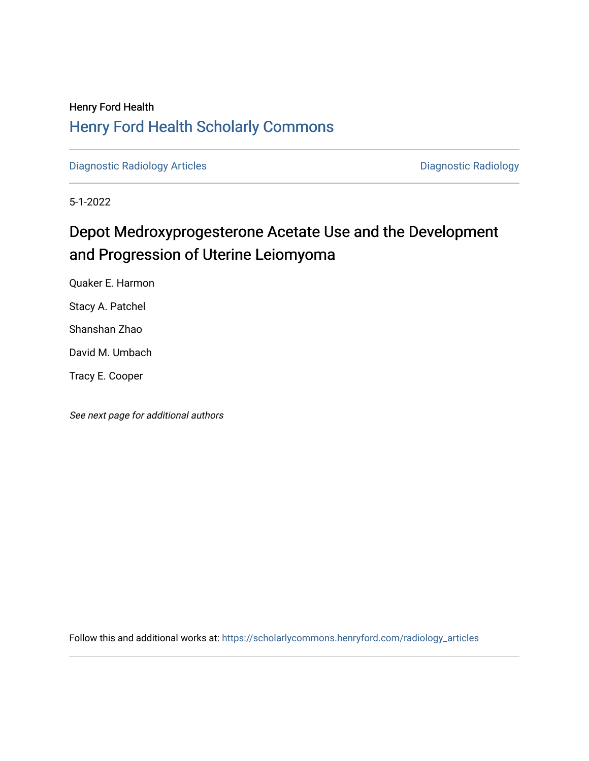## Henry Ford Health [Henry Ford Health Scholarly Commons](https://scholarlycommons.henryford.com/)

[Diagnostic Radiology Articles](https://scholarlycommons.henryford.com/radiology_articles) **Diagnostic Radiology** 

5-1-2022

# Depot Medroxyprogesterone Acetate Use and the Development and Progression of Uterine Leiomyoma

Quaker E. Harmon Stacy A. Patchel

Shanshan Zhao

David M. Umbach

Tracy E. Cooper

See next page for additional authors

Follow this and additional works at: [https://scholarlycommons.henryford.com/radiology\\_articles](https://scholarlycommons.henryford.com/radiology_articles?utm_source=scholarlycommons.henryford.com%2Fradiology_articles%2F272&utm_medium=PDF&utm_campaign=PDFCoverPages)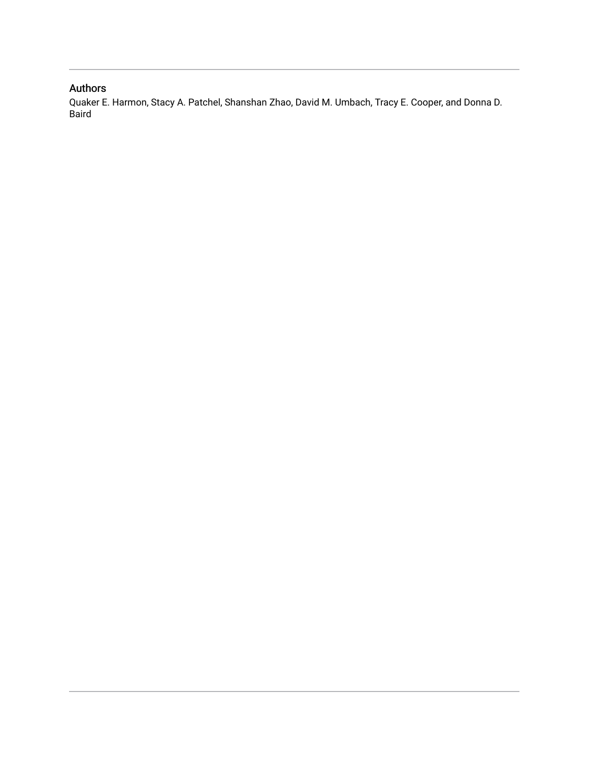## Authors

Quaker E. Harmon, Stacy A. Patchel, Shanshan Zhao, David M. Umbach, Tracy E. Cooper, and Donna D. **Baird**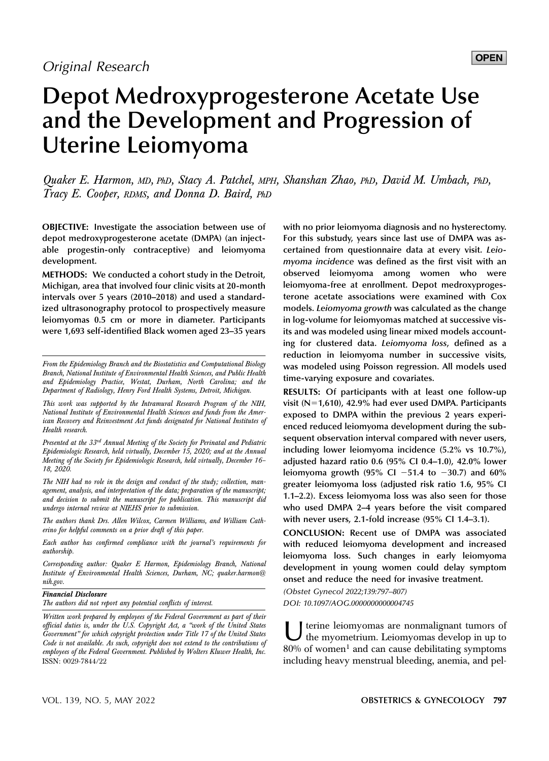## **OPEN**

# Depot Medroxyprogesterone Acetate Use and the Development and Progression of Uterine Leiomyoma

Quaker E. Harmon, MD, PhD, Stacy A. Patchel, MPH, Shanshan Zhao, PhD, David M. Umbach, PhD, Tracy E. Cooper, RDMS, and Donna D. Baird, PhD

OBJECTIVE: Investigate the association between use of depot medroxyprogesterone acetate (DMPA) (an injectable progestin-only contraceptive) and leiomyoma development.

METHODS: We conducted a cohort study in the Detroit, Michigan, area that involved four clinic visits at 20-month intervals over 5 years (2010–2018) and used a standardized ultrasonography protocol to prospectively measure leiomyomas 0.5 cm or more in diameter. Participants were 1,693 self-identified Black women aged 23–35 years

Presented at the 33rd Annual Meeting of the Society for Perinatal and Pediatric Epidemiologic Research, held virtually, December 15, 2020; and at the Annual Meeting of the Society for Epidemiologic Research, held virtually, December 16– 18, 2020.

The NIH had no role in the design and conduct of the study; collection, management, analysis, and interpretation of the data; preparation of the manuscript; and decision to submit the manuscript for publication. This manuscript did undergo internal review at NIEHS prior to submission.

The authors thank Drs. Allen Wilcox, Carmen Williams, and William Catherino for helpful comments on a prior draft of this paper.

Each author has confirmed compliance with the journal's requirements for authorship.

Corresponding author: Quaker E Harmon, Epidemiology Branch, National Institute of Environmental Health Sciences, Durham, NC; [quaker.harmon@](mailto:quaker.harmon@nih.gov) [nih.gov](mailto:quaker.harmon@nih.gov).

## Financial Disclosure

The authors did not report any potential conflicts of interest.

Written work prepared by employees of the Federal Government as part of their official duties is, under the U.S. Copyright Act, a "work of the United States Government" for which copyright protection under Title 17 of the United States Code is not available. As such, copyright does not extend to the contributions of employees of the Federal Government. Published by Wolters Kluwer Health, Inc. ISSN: 0029-7844/22

with no prior leiomyoma diagnosis and no hysterectomy. For this substudy, years since last use of DMPA was ascertained from questionnaire data at every visit. Leiomyoma incidence was defined as the first visit with an observed leiomyoma among women who were leiomyoma-free at enrollment. Depot medroxyprogesterone acetate associations were examined with Cox models. Leiomyoma growth was calculated as the change in log-volume for leiomyomas matched at successive visits and was modeled using linear mixed models accounting for clustered data. Leiomyoma loss, defined as a reduction in leiomyoma number in successive visits, was modeled using Poisson regression. All models used time-varying exposure and covariates.

RESULTS: Of participants with at least one follow-up visit ( $N=1,610$ ), 42.9% had ever used DMPA. Participants exposed to DMPA within the previous 2 years experienced reduced leiomyoma development during the subsequent observation interval compared with never users, including lower leiomyoma incidence (5.2% vs 10.7%), adjusted hazard ratio 0.6 (95% CI 0.4–1.0), 42.0% lower leiomyoma growth (95% Cl  $-51.4$  to  $-30.7$ ) and 60% greater leiomyoma loss (adjusted risk ratio 1.6, 95% CI 1.1–2.2). Excess leiomyoma loss was also seen for those who used DMPA 2–4 years before the visit compared with never users, 2.1-fold increase (95% CI 1.4–3.1).

CONCLUSION: Recent use of DMPA was associated with reduced leiomyoma development and increased leiomyoma loss. Such changes in early leiomyoma development in young women could delay symptom onset and reduce the need for invasive treatment.

(Obstet Gynecol 2022;139:797–807)

DOI: 10.1097/AOG.0000000000004745

U terine leiomyomas are nonmalignant tumors of<br>the myometrium. Leiomyomas develop in up to  $80%$  of women<sup>1</sup> and can cause debilitating symptoms including heavy menstrual bleeding, anemia, and pel-

From the Epidemiology Branch and the Biostatistics and Computational Biology Branch, National Institute of Environmental Health Sciences, and Public Health and Epidemiology Practice, Westat, Durham, North Carolina; and the Department of Radiology, Henry Ford Health Systems, Detroit, Michigan.

This work was supported by the Intramural Research Program of the NIH, National Institute of Environmental Health Sciences and funds from the American Recovery and Reinvestment Act funds designated for National Institutes of Health research.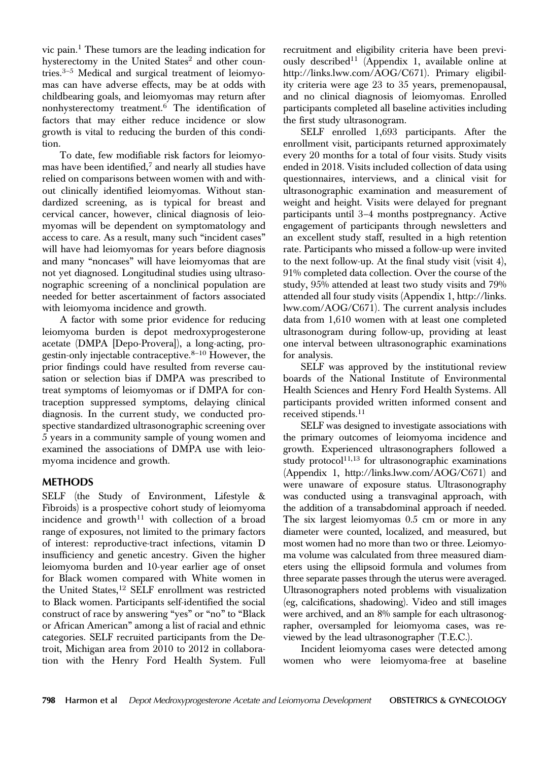vic pain.<sup>1</sup> These tumors are the leading indication for hysterectomy in the United States<sup>2</sup> and other countries. $3-5$  Medical and surgical treatment of leiomyomas can have adverse effects, may be at odds with childbearing goals, and leiomyomas may return after nonhysterectomy treatment. $6$  The identification of factors that may either reduce incidence or slow growth is vital to reducing the burden of this condition.

To date, few modifiable risk factors for leiomyomas have been identified, $^7$  and nearly all studies have relied on comparisons between women with and without clinically identified leiomyomas. Without standardized screening, as is typical for breast and cervical cancer, however, clinical diagnosis of leiomyomas will be dependent on symptomatology and access to care. As a result, many such "incident cases" will have had leiomyomas for years before diagnosis and many "noncases" will have leiomyomas that are not yet diagnosed. Longitudinal studies using ultrasonographic screening of a nonclinical population are needed for better ascertainment of factors associated with leiomyoma incidence and growth.

A factor with some prior evidence for reducing leiomyoma burden is depot medroxyprogesterone acetate (DMPA [Depo-Provera]), a long-acting, progestin-only injectable contraceptive.8–<sup>10</sup> However, the prior findings could have resulted from reverse causation or selection bias if DMPA was prescribed to treat symptoms of leiomyomas or if DMPA for contraception suppressed symptoms, delaying clinical diagnosis. In the current study, we conducted prospective standardized ultrasonographic screening over 5 years in a community sample of young women and examined the associations of DMPA use with leiomyoma incidence and growth.

SELF (the Study of Environment, Lifestyle & Fibroids) is a prospective cohort study of leiomyoma incidence and growth<sup>11</sup> with collection of a broad range of exposures, not limited to the primary factors of interest: reproductive-tract infections, vitamin D insufficiency and genetic ancestry. Given the higher leiomyoma burden and 10-year earlier age of onset for Black women compared with White women in the United States,<sup>12</sup> SELF enrollment was restricted to Black women. Participants self-identified the social construct of race by answering "yes" or "no" to "Black or African American" among a list of racial and ethnic categories. SELF recruited participants from the Detroit, Michigan area from 2010 to 2012 in collaboration with the Henry Ford Health System. Full

recruitment and eligibility criteria have been previously described<sup>11</sup> (Appendix 1, available online at <http://links.lww.com/AOG/C671>). Primary eligibility criteria were age 23 to 35 years, premenopausal, and no clinical diagnosis of leiomyomas. Enrolled participants completed all baseline activities including the first study ultrasonogram.

SELF enrolled 1,693 participants. After the enrollment visit, participants returned approximately every 20 months for a total of four visits. Study visits ended in 2018. Visits included collection of data using questionnaires, interviews, and a clinical visit for ultrasonographic examination and measurement of weight and height. Visits were delayed for pregnant participants until 3–4 months postpregnancy. Active engagement of participants through newsletters and an excellent study staff, resulted in a high retention rate. Participants who missed a follow-up were invited to the next follow-up. At the final study visit (visit 4), 91% completed data collection. Over the course of the study, 95% attended at least two study visits and 79% attended all four study visits (Appendix 1, [http://links.](http://links.lww.com/AOG/C671) [lww.com/AOG/C671](http://links.lww.com/AOG/C671)). The current analysis includes data from 1,610 women with at least one completed ultrasonogram during follow-up, providing at least one interval between ultrasonographic examinations for analysis.

SELF was approved by the institutional review boards of the National Institute of Environmental Health Sciences and Henry Ford Health Systems. All participants provided written informed consent and received stipends.<sup>11</sup>

SELF was designed to investigate associations with the primary outcomes of leiomyoma incidence and growth. Experienced ultrasonographers followed a study protocol $11,13$  for ultrasonographic examinations (Appendix 1,<http://links.lww.com/AOG/C671>) and were unaware of exposure status. Ultrasonography was conducted using a transvaginal approach, with the addition of a transabdominal approach if needed. The six largest leiomyomas 0.5 cm or more in any diameter were counted, localized, and measured, but most women had no more than two or three. Leiomyoma volume was calculated from three measured diameters using the ellipsoid formula and volumes from three separate passes through the uterus were averaged. Ultrasonographers noted problems with visualization (eg, calcifications, shadowing). Video and still images were archived, and an 8% sample for each ultrasonographer, oversampled for leiomyoma cases, was reviewed by the lead ultrasonographer (T.E.C.).

Incident leiomyoma cases were detected among women who were leiomyoma-free at baseline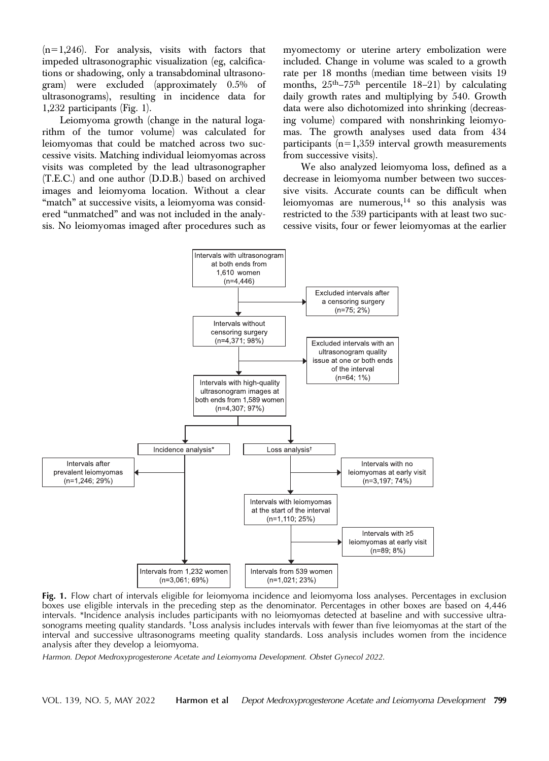$(n=1,246)$ . For analysis, visits with factors that impeded ultrasonographic visualization (eg, calcifications or shadowing, only a transabdominal ultrasonogram) were excluded (approximately 0.5% of ultrasonograms), resulting in incidence data for 1,232 participants (Fig. 1).

Leiomyoma growth (change in the natural logarithm of the tumor volume) was calculated for leiomyomas that could be matched across two successive visits. Matching individual leiomyomas across visits was completed by the lead ultrasonographer (T.E.C.) and one author (D.D.B.) based on archived images and leiomyoma location. Without a clear "match" at successive visits, a leiomyoma was considered "unmatched" and was not included in the analysis. No leiomyomas imaged after procedures such as myomectomy or uterine artery embolization were included. Change in volume was scaled to a growth rate per 18 months (median time between visits 19 months,  $25<sup>th</sup> - 75<sup>th</sup>$  percentile 18–21) by calculating daily growth rates and multiplying by 540. Growth data were also dichotomized into shrinking (decreasing volume) compared with nonshrinking leiomyomas. The growth analyses used data from 434 participants  $(n=1,359$  interval growth measurements from successive visits).

We also analyzed leiomyoma loss, defined as a decrease in leiomyoma number between two successive visits. Accurate counts can be difficult when leiomyomas are numerous, $14$  so this analysis was restricted to the 539 participants with at least two successive visits, four or fewer leiomyomas at the earlier



Fig. 1. Flow chart of intervals eligible for leiomyoma incidence and leiomyoma loss analyses. Percentages in exclusion boxes use eligible intervals in the preceding step as the denominator. Percentages in other boxes are based on 4,446 intervals. \*Incidence analysis includes participants with no leiomyomas detected at baseline and with successive ultrasonograms meeting quality standards. †Loss analysis includes intervals with fewer than five leiomyomas at the start of the interval and successive ultrasonograms meeting quality standards. Loss analysis includes women from the incidence analysis after they develop a leiomyoma.

Harmon. Depot Medroxyprogesterone Acetate and Leiomyoma Development. Obstet Gynecol 2022.

VOL. 139, NO. 5, MAY 2022 Harmon et al Depot Medroxyprogesterone Acetate and Leiomyoma Development 799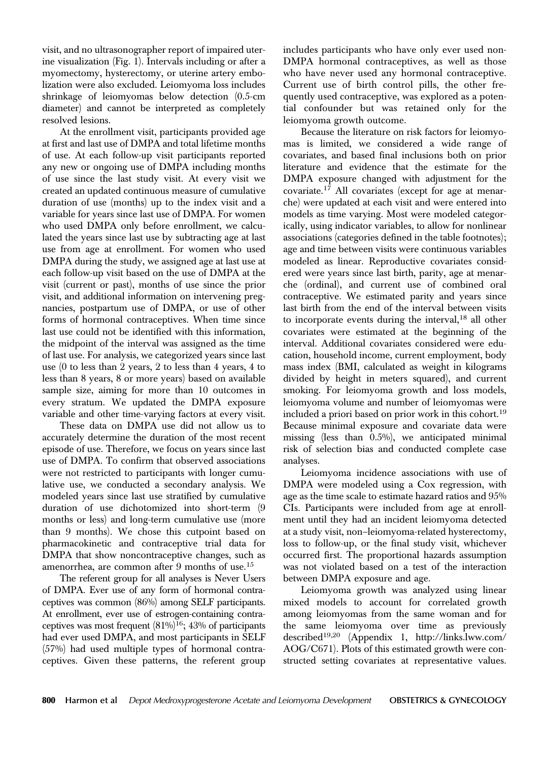visit, and no ultrasonographer report of impaired uterine visualization (Fig. 1). Intervals including or after a myomectomy, hysterectomy, or uterine artery embolization were also excluded. Leiomyoma loss includes shrinkage of leiomyomas below detection (0.5-cm diameter) and cannot be interpreted as completely resolved lesions.

At the enrollment visit, participants provided age at first and last use of DMPA and total lifetime months of use. At each follow-up visit participants reported any new or ongoing use of DMPA including months of use since the last study visit. At every visit we created an updated continuous measure of cumulative duration of use (months) up to the index visit and a variable for years since last use of DMPA. For women who used DMPA only before enrollment, we calculated the years since last use by subtracting age at last use from age at enrollment. For women who used DMPA during the study, we assigned age at last use at each follow-up visit based on the use of DMPA at the visit (current or past), months of use since the prior visit, and additional information on intervening pregnancies, postpartum use of DMPA, or use of other forms of hormonal contraceptives. When time since last use could not be identified with this information, the midpoint of the interval was assigned as the time of last use. For analysis, we categorized years since last use (0 to less than 2 years, 2 to less than 4 years, 4 to less than 8 years, 8 or more years) based on available sample size, aiming for more than 10 outcomes in every stratum. We updated the DMPA exposure variable and other time-varying factors at every visit.

These data on DMPA use did not allow us to accurately determine the duration of the most recent episode of use. Therefore, we focus on years since last use of DMPA. To confirm that observed associations were not restricted to participants with longer cumulative use, we conducted a secondary analysis. We modeled years since last use stratified by cumulative duration of use dichotomized into short-term (9 months or less) and long-term cumulative use (more than 9 months). We chose this cutpoint based on pharmacokinetic and contraceptive trial data for DMPA that show noncontraceptive changes, such as amenorrhea, are common after 9 months of use.<sup>15</sup>

The referent group for all analyses is Never Users of DMPA. Ever use of any form of hormonal contraceptives was common (86%) among SELF participants. At enrollment, ever use of estrogen-containing contraceptives was most frequent  $(81\%)^{16}$ ; 43% of participants had ever used DMPA, and most participants in SELF (57%) had used multiple types of hormonal contraceptives. Given these patterns, the referent group

includes participants who have only ever used non-DMPA hormonal contraceptives, as well as those who have never used any hormonal contraceptive. Current use of birth control pills, the other frequently used contraceptive, was explored as a potential confounder but was retained only for the leiomyoma growth outcome.

Because the literature on risk factors for leiomyomas is limited, we considered a wide range of covariates, and based final inclusions both on prior literature and evidence that the estimate for the DMPA exposure changed with adjustment for the covariate.<sup>17</sup> All covariates (except for age at menarche) were updated at each visit and were entered into models as time varying. Most were modeled categorically, using indicator variables, to allow for nonlinear associations (categories defined in the table footnotes); age and time between visits were continuous variables modeled as linear. Reproductive covariates considered were years since last birth, parity, age at menarche (ordinal), and current use of combined oral contraceptive. We estimated parity and years since last birth from the end of the interval between visits to incorporate events during the interval,<sup>18</sup> all other covariates were estimated at the beginning of the interval. Additional covariates considered were education, household income, current employment, body mass index (BMI, calculated as weight in kilograms divided by height in meters squared), and current smoking. For leiomyoma growth and loss models, leiomyoma volume and number of leiomyomas were included a priori based on prior work in this cohort.<sup>19</sup> Because minimal exposure and covariate data were missing (less than 0.5%), we anticipated minimal risk of selection bias and conducted complete case analyses.

Leiomyoma incidence associations with use of DMPA were modeled using a Cox regression, with age as the time scale to estimate hazard ratios and 95% CIs. Participants were included from age at enrollment until they had an incident leiomyoma detected at a study visit, non–leiomyoma-related hysterectomy, loss to follow-up, or the final study visit, whichever occurred first. The proportional hazards assumption was not violated based on a test of the interaction between DMPA exposure and age.

Leiomyoma growth was analyzed using linear mixed models to account for correlated growth among leiomyomas from the same woman and for the same leiomyoma over time as previously described19,20 (Appendix 1, [http://links.lww.com/](http://links.lww.com/AOG/C671) [AOG/C671\)](http://links.lww.com/AOG/C671). Plots of this estimated growth were constructed setting covariates at representative values.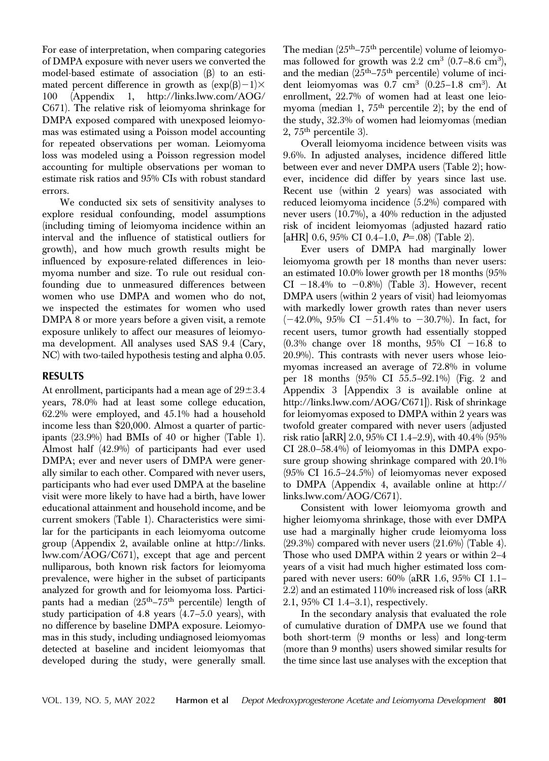For ease of interpretation, when comparing categories of DMPA exposure with never users we converted the model-based estimate of association  $(\beta)$  to an estimated percent difference in growth as  $(\exp(\beta)-1)\times$ 100 (Appendix 1, [http://links.lww.com/AOG/](http://links.lww.com/AOG/C671) [C671\)](http://links.lww.com/AOG/C671). The relative risk of leiomyoma shrinkage for DMPA exposed compared with unexposed leiomyomas was estimated using a Poisson model accounting for repeated observations per woman. Leiomyoma loss was modeled using a Poisson regression model accounting for multiple observations per woman to estimate risk ratios and 95% CIs with robust standard errors.

We conducted six sets of sensitivity analyses to explore residual confounding, model assumptions (including timing of leiomyoma incidence within an interval and the influence of statistical outliers for growth), and how much growth results might be influenced by exposure-related differences in leiomyoma number and size. To rule out residual confounding due to unmeasured differences between women who use DMPA and women who do not, we inspected the estimates for women who used DMPA 8 or more years before a given visit, a remote exposure unlikely to affect our measures of leiomyoma development. All analyses used SAS 9.4 (Cary, NC) with two-tailed hypothesis testing and alpha 0.05.

At enrollment, participants had a mean age of  $29\pm3.4$ years, 78.0% had at least some college education, 62.2% were employed, and 45.1% had a household income less than \$20,000. Almost a quarter of participants (23.9%) had BMIs of 40 or higher (Table 1). Almost half (42.9%) of participants had ever used DMPA; ever and never users of DMPA were generally similar to each other. Compared with never users, participants who had ever used DMPA at the baseline visit were more likely to have had a birth, have lower educational attainment and household income, and be current smokers (Table 1). Characteristics were similar for the participants in each leiomyoma outcome group (Appendix 2, available online at [http://links.](http://links.lww.com/AOG/C671) [lww.com/AOG/C671\)](http://links.lww.com/AOG/C671), except that age and percent nulliparous, both known risk factors for leiomyoma prevalence, were higher in the subset of participants analyzed for growth and for leiomyoma loss. Participants had a median  $(25<sup>th</sup> - 75<sup>th</sup>$  percentile) length of study participation of 4.8 years (4.7–5.0 years), with no difference by baseline DMPA exposure. Leiomyomas in this study, including undiagnosed leiomyomas detected at baseline and incident leiomyomas that developed during the study, were generally small.

The median  $(25<sup>th</sup>-75<sup>th</sup>$  percentile) volume of leiomyomas followed for growth was  $2.2 \text{ cm}^3$  (0.7–8.6 cm<sup>3</sup>), and the median  $(25<sup>th</sup>-75<sup>th</sup>$  percentile) volume of incident leiomyomas was  $0.7 \text{ cm}^3$  ( $0.25-1.8 \text{ cm}^3$ ). At enrollment, 22.7% of women had at least one leiomyoma (median 1,  $75<sup>th</sup>$  percentile 2); by the end of the study, 32.3% of women had leiomyomas (median 2,  $75<sup>th</sup>$  percentile 3).

Overall leiomyoma incidence between visits was 9.6%. In adjusted analyses, incidence differed little between ever and never DMPA users (Table 2); however, incidence did differ by years since last use. Recent use (within 2 years) was associated with reduced leiomyoma incidence (5.2%) compared with never users (10.7%), a 40% reduction in the adjusted risk of incident leiomyomas (adjusted hazard ratio [aHR]  $0.6$ ,  $95\%$  CI  $0.4-1.0$ ,  $P=.08$  (Table 2).

Ever users of DMPA had marginally lower leiomyoma growth per 18 months than never users: an estimated 10.0% lower growth per 18 months (95% CI  $-18.4\%$  to  $-0.8\%$  (Table 3). However, recent DMPA users (within 2 years of visit) had leiomyomas with markedly lower growth rates than never users  $(-42.0\%, 95\% \text{ CI } -51.4\% \text{ to } -30.7\%)$ . In fact, for recent users, tumor growth had essentially stopped  $(0.3\%$  change over 18 months, 95% CI -16.8 to 20.9%). This contrasts with never users whose leiomyomas increased an average of 72.8% in volume per 18 months (95% CI 55.5–92.1%) (Fig. 2 and Appendix 3 [Appendix 3 is available online at <http://links.lww.com/AOG/C671>]). Risk of shrinkage for leiomyomas exposed to DMPA within 2 years was twofold greater compared with never users (adjusted risk ratio [aRR] 2.0, 95% CI 1.4–2.9), with 40.4% (95% CI 28.0–58.4%) of leiomyomas in this DMPA exposure group showing shrinkage compared with 20.1% (95% CI 16.5–24.5%) of leiomyomas never exposed to DMPA (Appendix 4, available online at [http://](http://links.lww.com/AOG/C671) [links.lww.com/AOG/C671](http://links.lww.com/AOG/C671)).

Consistent with lower leiomyoma growth and higher leiomyoma shrinkage, those with ever DMPA use had a marginally higher crude leiomyoma loss  $(29.3\%)$  compared with never users  $(21.6\%)$  (Table 4). Those who used DMPA within 2 years or within 2–4 years of a visit had much higher estimated loss compared with never users: 60% (aRR 1.6, 95% CI 1.1– 2.2) and an estimated 110% increased risk of loss (aRR 2.1, 95% CI 1.4–3.1), respectively.

In the secondary analysis that evaluated the role of cumulative duration of DMPA use we found that both short-term (9 months or less) and long-term (more than 9 months) users showed similar results for the time since last use analyses with the exception that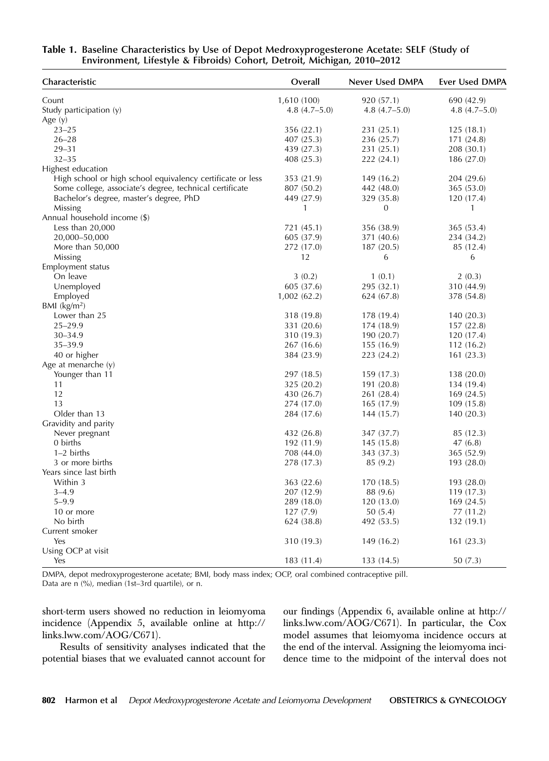| Table 1. Baseline Characteristics by Use of Depot Medroxyprogesterone Acetate: SELF (Study of |  |
|-----------------------------------------------------------------------------------------------|--|
| Environment, Lifestyle & Fibroids) Cohort, Detroit, Michigan, 2010–2012                       |  |

| Characteristic                                             | Overall        | Never Used DMPA  | Ever Used DMPA |  |
|------------------------------------------------------------|----------------|------------------|----------------|--|
| Count                                                      | 1,610 (100)    | 920 (57.1)       | 690 (42.9)     |  |
| Study participation (y)                                    | $4.8(4.7-5.0)$ | $4.8(4.7-5.0)$   | $4.8(4.7-5.0)$ |  |
| Age $(y)$                                                  |                |                  |                |  |
| $23 - 25$                                                  | 356 (22.1)     | 231 (25.1)       | 125(18.1)      |  |
| $26 - 28$                                                  | 407 (25.3)     | 236 (25.7)       | 171 (24.8)     |  |
| $29 - 31$                                                  | 439 (27.3)     | 231 (25.1)       | 208(30.1)      |  |
| $32 - 35$                                                  | 408 (25.3)     | 222(24.1)        | 186 (27.0)     |  |
| Highest education                                          |                |                  |                |  |
| High school or high school equivalency certificate or less | 353 (21.9)     | 149 (16.2)       | 204 (29.6)     |  |
| Some college, associate's degree, technical certificate    | 807 (50.2)     | 442 (48.0)       | 365(53.0)      |  |
| Bachelor's degree, master's degree, PhD                    | 449 (27.9)     | 329 (35.8)       | 120(17.4)      |  |
| Missing                                                    | 1              | $\boldsymbol{0}$ | 1              |  |
| Annual household income (\$)                               |                |                  |                |  |
| Less than $20,000$                                         | 721 (45.1)     | 356 (38.9)       | 365(53.4)      |  |
| 20,000-50,000                                              | 605 (37.9)     | 371 (40.6)       | 234 (34.2)     |  |
| More than 50,000                                           | 272 (17.0)     | 187(20.5)        | 85 (12.4)      |  |
| Missing                                                    | 12             | 6                | 6              |  |
| Employment status                                          |                |                  |                |  |
| On leave                                                   | 3(0.2)         | 1(0.1)           | 2(0.3)         |  |
| Unemployed                                                 | 605 (37.6)     | 295 (32.1)       | 310 (44.9)     |  |
| Employed                                                   | 1,002(62.2)    | 624 (67.8)       | 378 (54.8)     |  |
| BMI $(kg/m2)$                                              |                |                  |                |  |
| Lower than 25                                              | 318 (19.8)     | 178 (19.4)       | 140(20.3)      |  |
| $25 - 29.9$                                                | 331 (20.6)     | 174 (18.9)       | 157(22.8)      |  |
| $30 - 34.9$                                                | 310 (19.3)     | 190 (20.7)       | 120(17.4)      |  |
| $35 - 39.9$                                                | 267(16.6)      | 155(16.9)        | 112(16.2)      |  |
| 40 or higher                                               | 384 (23.9)     | 223 (24.2)       | 161(23.3)      |  |
| Age at menarche $(y)$                                      |                |                  |                |  |
| Younger than 11                                            | 297 (18.5)     | 159 (17.3)       | 138 (20.0)     |  |
| 11                                                         | 325 (20.2)     | 191 (20.8)       | 134 (19.4)     |  |
| 12                                                         | 430 (26.7)     | 261 (28.4)       | 169(24.5)      |  |
| 13                                                         | 274 (17.0)     | 165(17.9)        | 109(15.8)      |  |
| Older than 13                                              | 284 (17.6)     | 144 (15.7)       | 140(20.3)      |  |
| Gravidity and parity                                       |                |                  |                |  |
| Never pregnant                                             | 432 (26.8)     | 347 (37.7)       | 85 (12.3)      |  |
| 0 births                                                   | 192 (11.9)     | 145(15.8)        | 47(6.8)        |  |
| $1-2$ births                                               | 708 (44.0)     | 343 (37.3)       | 365 (52.9)     |  |
| 3 or more births                                           | 278 (17.3)     | 85(9.2)          | 193 (28.0)     |  |
| Years since last birth                                     |                |                  |                |  |
| Within 3                                                   | 363 (22.6)     | 170 (18.5)       | 193 (28.0)     |  |
| $3 - 4.9$                                                  | 207 (12.9)     | 88 (9.6)         | 119 (17.3)     |  |
| $5 - 9.9$                                                  | 289 (18.0)     | 120(13.0)        | 169(24.5)      |  |
| 10 or more                                                 | 127(7.9)       | 50(5.4)          | 77 (11.2)      |  |
| No birth                                                   | 624 (38.8)     | 492 (53.5)       | 132(19.1)      |  |
| Current smoker                                             |                |                  |                |  |
| Yes                                                        | 310 (19.3)     | 149 (16.2)       | 161(23.3)      |  |
| Using OCP at visit                                         |                |                  |                |  |
| Yes                                                        | 183 (11.4)     | 133 (14.5)       | 50(7.3)        |  |

DMPA, depot medroxyprogesterone acetate; BMI, body mass index; OCP, oral combined contraceptive pill. Data are n (%), median (1st–3rd quartile), or n.

short-term users showed no reduction in leiomyoma incidence (Appendix 5, available online at [http://](http://links.lww.com/AOG/C671) [links.lww.com/AOG/C671](http://links.lww.com/AOG/C671)).

Results of sensitivity analyses indicated that the potential biases that we evaluated cannot account for

our findings (Appendix 6, available online at [http://](http://links.lww.com/AOG/C671) [links.lww.com/AOG/C671](http://links.lww.com/AOG/C671)). In particular, the Cox model assumes that leiomyoma incidence occurs at the end of the interval. Assigning the leiomyoma incidence time to the midpoint of the interval does not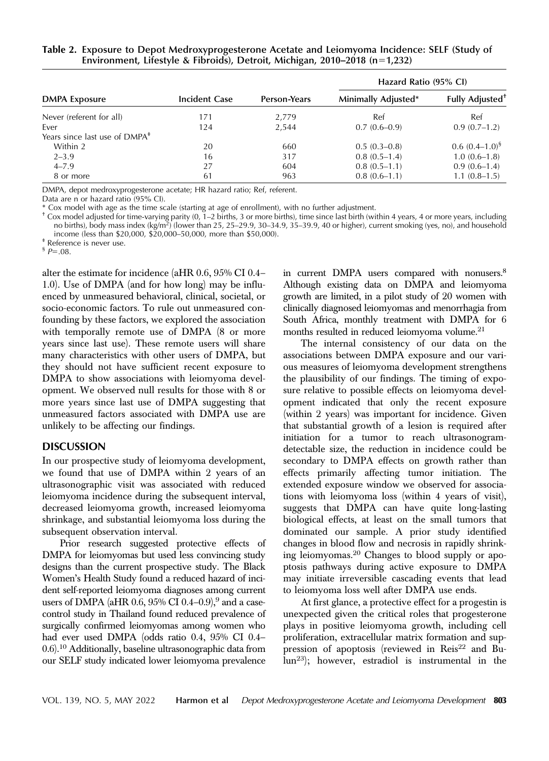|                                           | <b>Incident Case</b> | Person-Years | Hazard Ratio (95% CI) |                             |
|-------------------------------------------|----------------------|--------------|-----------------------|-----------------------------|
| <b>DMPA Exposure</b>                      |                      |              | Minimally Adjusted*   | Fully Adjusted <sup>+</sup> |
| Never (referent for all)                  | 171                  | 2,779        | Ref                   | Ref                         |
| Ever                                      | 124                  | 2,544        | $0.7(0.6-0.9)$        | $0.9(0.7-1.2)$              |
| Years since last use of DMPA <sup>#</sup> |                      |              |                       |                             |
| Within 2                                  | 20                   | 660          | $0.5(0.3-0.8)$        | $0.6~(0.4-1.0)^8$           |
| $2 - 3.9$                                 | 16                   | 317          | $0.8(0.5-1.4)$        | $1.0(0.6-1.8)$              |
| $4 - 7.9$                                 | 27                   | 604          | $0.8(0.5-1.1)$        | $0.9(0.6-1.4)$              |
| 8 or more                                 | 61                   | 963          | $0.8(0.6-1.1)$        | $1.1(0.8-1.5)$              |

Table 2. Exposure to Depot Medroxyprogesterone Acetate and Leiomyoma Incidence: SELF (Study of Environment, Lifestyle & Fibroids), Detroit, Michigan, 2010–2018 (n=1,232)

DMPA, depot medroxyprogesterone acetate; HR hazard ratio; Ref, referent.

Data are n or hazard ratio (95% CI).

\* Cox model with age as the time scale (starting at age of enrollment), with no further adjustment.

 $^+$  Cox model adjusted for time-varying parity (0,  $1-2$  births, 3 or more births), time since last birth (within 4 years, 4 or more years, including no births), body mass index (kg/m2) (lower than 25, 25–29.9, 30–34.9, 35–39.9, 40 or higher), current smoking (yes, no), and household income (less than \$20,000, \$20,000–50,000, more than \$50,000).  $*$  Reference is never use.

 ${}^{6}P=.08$ .

alter the estimate for incidence (aHR 0.6, 95% CI 0.4– 1.0). Use of DMPA (and for how long) may be influenced by unmeasured behavioral, clinical, societal, or socio-economic factors. To rule out unmeasured confounding by these factors, we explored the association with temporally remote use of DMPA (8 or more years since last use). These remote users will share many characteristics with other users of DMPA, but they should not have sufficient recent exposure to DMPA to show associations with leiomyoma development. We observed null results for those with 8 or more years since last use of DMPA suggesting that unmeasured factors associated with DMPA use are unlikely to be affecting our findings.

DISCUSSION In our prospective study of leiomyoma development, we found that use of DMPA within 2 years of an ultrasonographic visit was associated with reduced leiomyoma incidence during the subsequent interval, decreased leiomyoma growth, increased leiomyoma shrinkage, and substantial leiomyoma loss during the subsequent observation interval.

Prior research suggested protective effects of DMPA for leiomyomas but used less convincing study designs than the current prospective study. The Black Women's Health Study found a reduced hazard of incident self-reported leiomyoma diagnoses among current users of DMPA (aHR 0.6, 95% CI 0.4–0.9),<sup>9</sup> and a casecontrol study in Thailand found reduced prevalence of surgically confirmed leiomyomas among women who had ever used DMPA (odds ratio 0.4, 95% CI 0.4– 0.6).10 Additionally, baseline ultrasonographic data from our SELF study indicated lower leiomyoma prevalence

in current DMPA users compared with nonusers.<sup>8</sup> Although existing data on DMPA and leiomyoma growth are limited, in a pilot study of 20 women with clinically diagnosed leiomyomas and menorrhagia from South Africa, monthly treatment with DMPA for 6 months resulted in reduced leiomyoma volume.21

The internal consistency of our data on the associations between DMPA exposure and our various measures of leiomyoma development strengthens the plausibility of our findings. The timing of exposure relative to possible effects on leiomyoma development indicated that only the recent exposure (within 2 years) was important for incidence. Given that substantial growth of a lesion is required after initiation for a tumor to reach ultrasonogramdetectable size, the reduction in incidence could be secondary to DMPA effects on growth rather than effects primarily affecting tumor initiation. The extended exposure window we observed for associations with leiomyoma loss (within 4 years of visit), suggests that DMPA can have quite long-lasting biological effects, at least on the small tumors that dominated our sample. A prior study identified changes in blood flow and necrosis in rapidly shrinking leiomyomas.<sup>20</sup> Changes to blood supply or apoptosis pathways during active exposure to DMPA may initiate irreversible cascading events that lead to leiomyoma loss well after DMPA use ends.

At first glance, a protective effect for a progestin is unexpected given the critical roles that progesterone plays in positive leiomyoma growth, including cell proliferation, extracellular matrix formation and suppression of apoptosis (reviewed in Reis<sup>22</sup> and Bu- $\bar{\text{I}}$ un<sup>23</sup>); however, estradiol is instrumental in the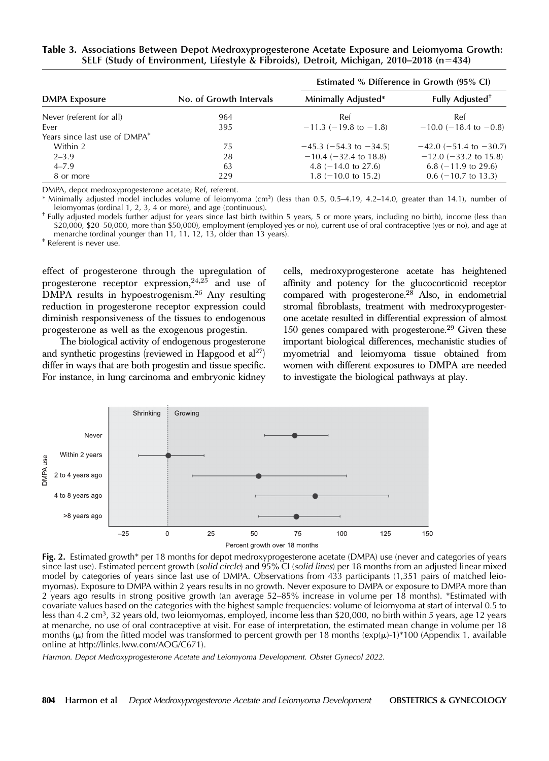|  | Table 3. Associations Between Depot Medroxyprogesterone Acetate Exposure and Leiomyoma Growth: |  |
|--|------------------------------------------------------------------------------------------------|--|
|  | SELF (Study of Environment, Lifestyle & Fibroids), Detroit, Michigan, 2010–2018 ( $n=434$ )    |  |

|                                           |                         | Estimated % Difference in Growth (95% CI) |                             |  |
|-------------------------------------------|-------------------------|-------------------------------------------|-----------------------------|--|
| <b>DMPA Exposure</b>                      | No. of Growth Intervals | Minimally Adjusted*                       | Fully Adjusted <sup>+</sup> |  |
| Never (referent for all)                  | 964                     | Ref                                       | Ref                         |  |
| Ever                                      | 395                     | $-11.3$ (-19.8 to -1.8)                   | $-10.0$ (-18.4 to -0.8)     |  |
| Years since last use of DMPA <sup>#</sup> |                         |                                           |                             |  |
| Within 2                                  | 75                      | $-45.3$ (-54.3 to -34.5)                  | $-42.0$ (-51.4 to -30.7)    |  |
| $2 - 3.9$                                 | 28                      | $-10.4$ ( $-32.4$ to 18.8)                | $-12.0$ ( $-33.2$ to 15.8)  |  |
| $4 - 7.9$                                 | 63                      | 4.8 $(-14.0 \text{ to } 27.6)$            | $6.8$ (-11.9 to 29.6)       |  |
| 8 or more                                 | 229                     | $1.8$ (-10.0 to 15.2)                     | $0.6$ (-10.7 to 13.3)       |  |

DMPA, depot medroxyprogesterone acetate; Ref, referent.

\* Minimally adjusted model includes volume of leiomyoma (cm<sup>3</sup>) (less than 0.5, 0.5–4.19, 4.2–14.0, greater than 14.1), number of leiomyomas (ordinal 1, 2, 3, 4 or more), and age (continuous).

<sup>+</sup> Fully adjusted models further adjust for years since last birth (within 5 years, 5 or more years, including no birth), income (less than \$20,000, \$20–50,000, more than \$50,000), employment (employed yes or no), current use of oral contraceptive (yes or no), and age at menarche (ordinal younger than 11, 11, 12, 13, older than 13 years).  $*$  Referent is never use.

effect of progesterone through the upregulation of progesterone receptor expression,  $24,25$  and use of DMPA results in hypoestrogenism.<sup>26</sup> Any resulting reduction in progesterone receptor expression could diminish responsiveness of the tissues to endogenous progesterone as well as the exogenous progestin.

The biological activity of endogenous progesterone and synthetic progestins (reviewed in Hapgood et  $al<sup>27</sup>$ ) differ in ways that are both progestin and tissue specific. For instance, in lung carcinoma and embryonic kidney cells, medroxyprogesterone acetate has heightened affinity and potency for the glucocorticoid receptor compared with progesterone.<sup>28</sup> Also, in endometrial stromal fibroblasts, treatment with medroxyprogesterone acetate resulted in differential expression of almost 150 genes compared with progesterone.29 Given these important biological differences, mechanistic studies of myometrial and leiomyoma tissue obtained from women with different exposures to DMPA are needed to investigate the biological pathways at play.



Fig. 2. Estimated growth\* per 18 months for depot medroxyprogesterone acetate (DMPA) use (never and categories of years since last use). Estimated percent growth (solid circle) and 95% CI (solid lines) per 18 months from an adjusted linear mixed model by categories of years since last use of DMPA. Observations from 433 participants (1,351 pairs of matched leiomyomas). Exposure to DMPA within 2 years results in no growth. Never exposure to DMPA or exposure to DMPA more than 2 years ago results in strong positive growth (an average 52–85% increase in volume per 18 months). \*Estimated with covariate values based on the categories with the highest sample frequencies: volume of leiomyoma at start of interval 0.5 to less than 4.2 cm<sup>3</sup>, 32 years old, two leiomyomas, employed, income less than \$20,000, no birth within 5 years, age 12 years at menarche, no use of oral contraceptive at visit. For ease of interpretation, the estimated mean change in volume per 18 months ( $\mu$ ) from the fitted model was transformed to percent growth per 18 months ( $\exp(\mu)$ -1)\*100 (Appendix 1, available online at [http://links.lww.com/AOG/C671\)](http://links.lww.com/AOG/C671).

Harmon. Depot Medroxyprogesterone Acetate and Leiomyoma Development. Obstet Gynecol 2022.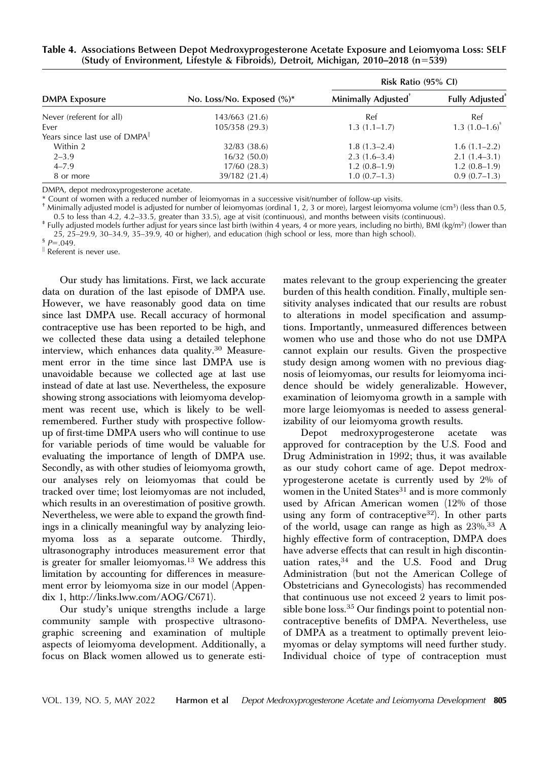## Table 4. Associations Between Depot Medroxyprogesterone Acetate Exposure and Leiomyoma Loss: SELF (Study of Environment, Lifestyle & Fibroids), Detroit, Michigan, 2010–2018 (n=539)

|                                            |                               | Risk Ratio (95% CI)             |                                    |  |
|--------------------------------------------|-------------------------------|---------------------------------|------------------------------------|--|
| <b>DMPA Exposure</b>                       | No. Loss/No. Exposed $(\%)^*$ | Minimally Adjusted <sup>®</sup> | <b>Fully Adjusted</b> <sup>*</sup> |  |
| Never (referent for all)                   | 143/663 (21.6)                | Ref                             | Ref                                |  |
| Ever                                       | 105/358 (29.3)                | $1.3(1.1-1.7)$                  | $1.3$ $(1.0-1.6)^{s}$              |  |
| Years since last use of DMPA <sup>II</sup> |                               |                                 |                                    |  |
| Within 2                                   | 32/83 (38.6)                  | $1.8(1.3-2.4)$                  | $1.6(1.1-2.2)$                     |  |
| $2 - 3.9$                                  | 16/32(50.0)                   | $2.3(1.6-3.4)$                  | $2.1(1.4-3.1)$                     |  |
| $4 - 7.9$                                  | 17/60 (28.3)                  | $1.2(0.8-1.9)$                  | $1.2(0.8-1.9)$                     |  |
| 8 or more                                  | 39/182 (21.4)                 | $1.0(0.7-1.3)$                  | $0.9(0.7-1.3)$                     |  |

DMPA, depot medroxyprogesterone acetate.

\* Count of women with a reduced number of leiomyomas in a successive visit/number of follow-up visits.

<sup>†</sup> Minimally adjusted model is adjusted for number of leiomyomas (ordinal 1, 2, 3 or more), largest leiomyoma volume (cm<sup>3</sup>) (less than 0.5, 0.5 to less than 4.2, 4.2–33.5, greater than 33.5), age at visit (continuous),

# Fully adjusted models further adjust for years since last birth (within 4 years, 4 or more years, including no birth), BMI (kg/m<sup>2</sup>) (lower than 25, 25–29.9, 30–34.9, 35–39.9, 40 or higher), and education (high school or less, more than high school).  $\frac{6}{5}P=0.049$ .

 $\parallel$  Referent is never use.

Our study has limitations. First, we lack accurate data on duration of the last episode of DMPA use. However, we have reasonably good data on time since last DMPA use. Recall accuracy of hormonal contraceptive use has been reported to be high, and we collected these data using a detailed telephone interview, which enhances data quality.<sup>30</sup> Measurement error in the time since last DMPA use is unavoidable because we collected age at last use instead of date at last use. Nevertheless, the exposure showing strong associations with leiomyoma development was recent use, which is likely to be wellremembered. Further study with prospective followup of first-time DMPA users who will continue to use for variable periods of time would be valuable for evaluating the importance of length of DMPA use. Secondly, as with other studies of leiomyoma growth, our analyses rely on leiomyomas that could be tracked over time; lost leiomyomas are not included, which results in an overestimation of positive growth. Nevertheless, we were able to expand the growth findings in a clinically meaningful way by analyzing leiomyoma loss as a separate outcome. Thirdly, ultrasonography introduces measurement error that is greater for smaller leiomyomas.<sup>13</sup> We address this limitation by accounting for differences in measurement error by leiomyoma size in our model (Appendix 1,<http://links.lww.com/AOG/C671>).

Our study's unique strengths include a large community sample with prospective ultrasonographic screening and examination of multiple aspects of leiomyoma development. Additionally, a focus on Black women allowed us to generate estimates relevant to the group experiencing the greater burden of this health condition. Finally, multiple sensitivity analyses indicated that our results are robust to alterations in model specification and assumptions. Importantly, unmeasured differences between women who use and those who do not use DMPA cannot explain our results. Given the prospective study design among women with no previous diagnosis of leiomyomas, our results for leiomyoma incidence should be widely generalizable. However, examination of leiomyoma growth in a sample with more large leiomyomas is needed to assess generalizability of our leiomyoma growth results.

Depot medroxyprogesterone acetate was approved for contraception by the U.S. Food and Drug Administration in 1992; thus, it was available as our study cohort came of age. Depot medroxyprogesterone acetate is currently used by 2% of women in the United States $31$  and is more commonly used by African American women (12% of those using any form of contraceptive<sup>32</sup>). In other parts of the world, usage can range as high as  $23\%$ .<sup>33</sup> A highly effective form of contraception, DMPA does have adverse effects that can result in high discontinuation rates, 34 and the U.S. Food and Drug Administration (but not the American College of Obstetricians and Gynecologists) has recommended that continuous use not exceed 2 years to limit possible bone loss. $35$  Our findings point to potential noncontraceptive benefits of DMPA. Nevertheless, use of DMPA as a treatment to optimally prevent leiomyomas or delay symptoms will need further study. Individual choice of type of contraception must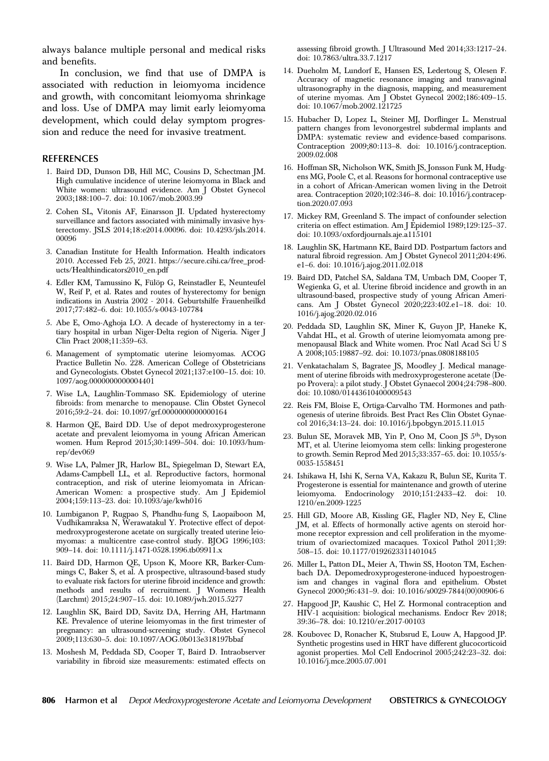always balance multiple personal and medical risks and benefits.

In conclusion, we find that use of DMPA is associated with reduction in leiomyoma incidence and growth, with concomitant leiomyoma shrinkage and loss. Use of DMPA may limit early leiomyoma development, which could delay symptom progression and reduce the need for invasive treatment.

## REFERENCES

- 1. Baird DD, Dunson DB, Hill MC, Cousins D, Schectman JM. High cumulative incidence of uterine leiomyoma in Black and White women: ultrasound evidence. Am J Obstet Gynecol 2003;188:100–7. doi: 10.1067/mob.2003.99
- 2. Cohen SL, Vitonis AF, Einarsson JI. Updated hysterectomy surveillance and factors associated with minimally invasive hysterectomy. JSLS 2014;18:e2014.00096. doi: 10.4293/jsls.2014. 00096
- 3. Canadian Institute for Health Information. Health indicators 2010. Accessed Feb 25, 2021. [https://secure.cihi.ca/free\\_prod](https://secure.cihi.ca/free_products/Healthindicators2010_en.pdf)[ucts/Healthindicators2010\\_en.pdf](https://secure.cihi.ca/free_products/Healthindicators2010_en.pdf)
- 4. Edler KM, Tamussino K, Fülöp G, Reinstadler E, Neunteufel W, Reif P, et al. Rates and routes of hysterectomy for benign indications in Austria 2002 - 2014. Geburtshilfe Frauenheilkd 2017;77:482–6. doi: 10.1055/s-0043-107784
- 5. Abe E, Omo-Aghoja LO. A decade of hysterectomy in a tertiary hospital in urban Niger-Delta region of Nigeria. Niger J Clin Pract 2008;11:359–63.
- 6. Management of symptomatic uterine leiomyomas. ACOG Practice Bulletin No. 228. American College of Obstetricians and Gynecologists. Obstet Gynecol 2021;137:e100–15. doi: 10. 1097/aog.0000000000004401
- 7. Wise LA, Laughlin-Tommaso SK. Epidemiology of uterine fibroids: from menarche to menopause. Clin Obstet Gynecol 2016;59:2–24. doi: 10.1097/grf.0000000000000164
- 8. Harmon QE, Baird DD. Use of depot medroxyprogesterone acetate and prevalent leiomyoma in young African American women. Hum Reprod 2015;30:1499–504. doi: 10.1093/humrep/dev069
- 9. Wise LA, Palmer JR, Harlow BL, Spiegelman D, Stewart EA, Adams-Campbell LL, et al. Reproductive factors, hormonal contraception, and risk of uterine leiomyomata in African-American Women: a prospective study. Am J Epidemiol 2004;159:113–23. doi: 10.1093/aje/kwh016
- 10. Lumbiganon P, Rugpao S, Phandhu-fung S, Laopaiboon M, Vudhikamraksa N, Werawatakul Y. Protective effect of depotmedroxyprogesterone acetate on surgically treated uterine leiomyomas: a multicentre case-control study. BJOG 1996;103: 909–14. doi: 10.1111/j.1471-0528.1996.tb09911.x
- 11. Baird DD, Harmon QE, Upson K, Moore KR, Barker-Cummings C, Baker S, et al. A prospective, ultrasound-based study to evaluate risk factors for uterine fibroid incidence and growth: methods and results of recruitment. J Womens Health (Larchmt) 2015;24:907–15. doi: 10.1089/jwh.2015.5277
- 12. Laughlin SK, Baird DD, Savitz DA, Herring AH, Hartmann KE. Prevalence of uterine leiomyomas in the first trimester of pregnancy: an ultrasound-screening study. Obstet Gynecol 2009;113:630–5. doi: 10.1097/AOG.0b013e318197bbaf
- 13. Moshesh M, Peddada SD, Cooper T, Baird D. Intraobserver variability in fibroid size measurements: estimated effects on

assessing fibroid growth. J Ultrasound Med 2014;33:1217–24. doi: 10.7863/ultra.33.7.1217

- 14. Dueholm M, Lundorf E, Hansen ES, Ledertoug S, Olesen F. Accuracy of magnetic resonance imaging and transvaginal ultrasonography in the diagnosis, mapping, and measurement of uterine myomas. Am J Obstet Gynecol 2002;186:409–15. doi: 10.1067/mob.2002.121725
- 15. Hubacher D, Lopez L, Steiner MJ, Dorflinger L. Menstrual pattern changes from levonorgestrel subdermal implants and DMPA: systematic review and evidence-based comparisons. Contraception 2009;80:113–8. doi: 10.1016/j.contraception. 2009.02.008
- 16. Hoffman SR, Nicholson WK, Smith JS, Jonsson Funk M, Hudgens MG, Poole C, et al. Reasons for hormonal contraceptive use in a cohort of African-American women living in the Detroit area. Contraception 2020;102:346–8. doi: 10.1016/j.contraception.2020.07.093
- 17. Mickey RM, Greenland S. The impact of confounder selection criteria on effect estimation. Am J Epidemiol 1989;129:125–37. doi: 10.1093/oxfordjournals.aje.a115101
- 18. Laughlin SK, Hartmann KE, Baird DD. Postpartum factors and natural fibroid regression. Am J Obstet Gynecol 2011;204:496. e1–6. doi: 10.1016/j.ajog.2011.02.018
- 19. Baird DD, Patchel SA, Saldana TM, Umbach DM, Cooper T, Wegienka G, et al. Uterine fibroid incidence and growth in an ultrasound-based, prospective study of young African Americans. Am J Obstet Gynecol 2020;223:402.e1–18. doi: 10. 1016/j.ajog.2020.02.016
- 20. Peddada SD, Laughlin SK, Miner K, Guyon JP, Haneke K, Vahdat HL, et al. Growth of uterine leiomyomata among premenopausal Black and White women. Proc Natl Acad Sci U S A 2008;105:19887–92. doi: 10.1073/pnas.0808188105
- 21. Venkatachalam S, Bagratee JS, Moodley J. Medical management of uterine fibroids with medroxyprogesterone acetate (Depo Provera): a pilot study. J Obstet Gynaecol 2004;24:798–800. doi: 10.1080/01443610400009543
- 22. Reis FM, Bloise E, Ortiga-Carvalho TM. Hormones and pathogenesis of uterine fibroids. Best Pract Res Clin Obstet Gynaecol 2016;34:13–24. doi: 10.1016/j.bpobgyn.2015.11.015
- 23. Bulun SE, Moravek MB, Yin P, Ono M, Coon JS 5th, Dyson MT, et al. Uterine leiomyoma stem cells: linking progesterone to growth. Semin Reprod Med 2015;33:357–65. doi: 10.1055/s-0035-1558451
- 24. Ishikawa H, Ishi K, Serna VA, Kakazu R, Bulun SE, Kurita T. Progesterone is essential for maintenance and growth of uterine leiomyoma. Endocrinology 2010;151:2433–42. doi: 10. 1210/en.2009-1225
- 25. Hill GD, Moore AB, Kissling GE, Flagler ND, Ney E, Cline JM, et al. Effects of hormonally active agents on steroid hormone receptor expression and cell proliferation in the myometrium of ovariectomized macaques. Toxicol Pathol 2011;39: 508–15. doi: 10.1177/0192623311401045
- 26. Miller L, Patton DL, Meier A, Thwin SS, Hooton TM, Eschenbach DA. Depomedroxyprogesterone-induced hypoestrogenism and changes in vaginal flora and epithelium. Obstet Gynecol 2000;96:431–9. doi: 10.1016/s0029-7844(00)00906-6
- 27. Hapgood JP, Kaushic C, Hel Z. Hormonal contraception and HIV-1 acquisition: biological mechanisms. Endocr Rev 2018; 39:36–78. doi: 10.1210/er.2017-00103
- 28. Koubovec D, Ronacher K, Stubsrud E, Louw A, Hapgood JP. Synthetic progestins used in HRT have different glucocorticoid agonist properties. Mol Cell Endocrinol 2005;242:23–32. doi: 10.1016/j.mce.2005.07.001